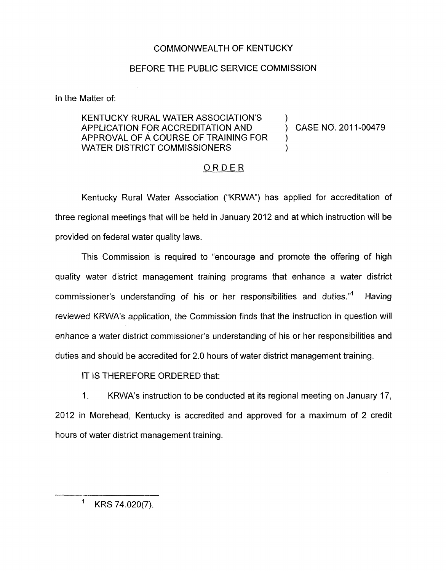## COMMONWEALTH OF KENTUCKY

## BEFORE THE PUBLIC SERVICE COMMISSION

In the Matter of:

## KENTUCKY RURAL WATER ASSOCIATION'S WATER DISTRICT COMMISSIONERS APPLICATION FOR ACCREDITATION AND (CASE NO. 2011-00479) APPROVAL OF A COURSE OF TRAINING FOR )

## ORDER

Kentucky Rural Water Association ("KRWA") has applied for accreditation of three regional meetings that will be held in January 2012 and at which instruction will be provided on federal water quality laws.

This Commission is required to "encourage and promote the offering of high quality water district management training programs that enhance a water district commissioner's understanding of his or her responsibilities and duties.''' Having reviewed KRWA's application, the Commission finds that the instruction in question will enhance a water district commissioner's understanding of his or her responsibilities and duties and should be accredited for 2.0 hours of water district management training.

IT IS THEREFORE ORDERED that:

1. KRWA's instruction to be conducted at its regional meeting on January 17, 2012 in Morehead, Kentucky is accredited and approved for a maximum of 2 credit hours of water district management training.

 $1$  KRS 74.020(7).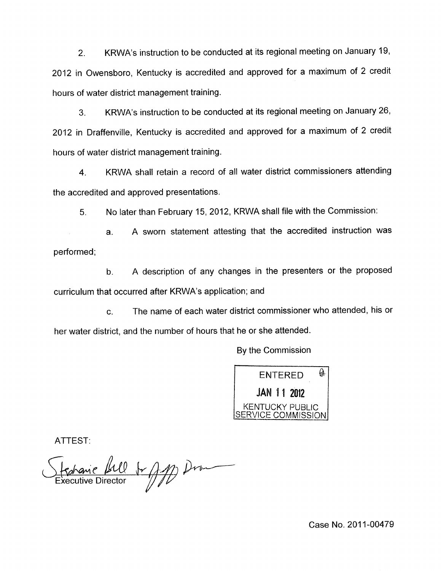2. KRWA's instruction to be conducted at its regional meeting on January 19, 2012 in Owensboro, Kentucky is accredited and approved for a maximum of 2 credit hours of water district management training.

3. KRWA's instruction to be conducted at its regional meeting on January 26, 2012 in Draffenville, Kentucky is accredited and approved for a maximum of 2 credit hours of water district management training.

**4.** KRWA shall retain a record of all water district commissioners attending the accredited and approved presentations.

*5.* No later than February 15, 2012, KRWA shall file with the Commission:

a. A sworn statement attesting that the accredited instruction was performed;

b. A description of any changes in the presenters or the proposed curriculum that occurred after KRWA's application; and

c. The name of each water district commissioner who attended, his or her water district, and the number of hours that he or she attended.

By the Commission



ATTEST:

Ferance Bill 1 App Draw

Case No. 2011-00479